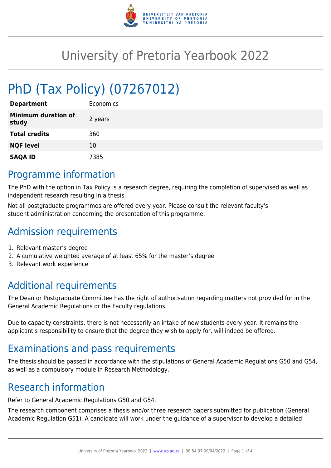

## University of Pretoria Yearbook 2022

# PhD (Tax Policy) (07267012)

| <b>Department</b>                   | Economics |
|-------------------------------------|-----------|
| <b>Minimum duration of</b><br>study | 2 years   |
| <b>Total credits</b>                | 360       |
| <b>NQF level</b>                    | 10        |
| <b>SAQA ID</b>                      | 7385      |

#### Programme information

The PhD with the option in Tax Policy is a research degree, requiring the completion of supervised as well as independent research resulting in a thesis.

Not all postgraduate programmes are offered every year. Please consult the relevant faculty's student administration concerning the presentation of this programme.

## Admission requirements

- 1. Relevant master's degree
- 2. A cumulative weighted average of at least 65% for the master's degree
- 3. Relevant work experience

## Additional requirements

The Dean or Postgraduate Committee has the right of authorisation regarding matters not provided for in the General Academic Regulations or the Faculty regulations.

Due to capacity constraints, there is not necessarily an intake of new students every year. It remains the applicant's responsibility to ensure that the degree they wish to apply for, will indeed be offered.

## Examinations and pass requirements

The thesis should be passed in accordance with the stipulations of General Academic Regulations G50 and G54, as well as a compulsory module in Research Methodology.

#### Research information

Refer to General Academic Regulations G50 and G54.

The research component comprises a thesis and/or three research papers submitted for publication (General Academic Regulation G51). A candidate will work under the guidance of a supervisor to develop a detailed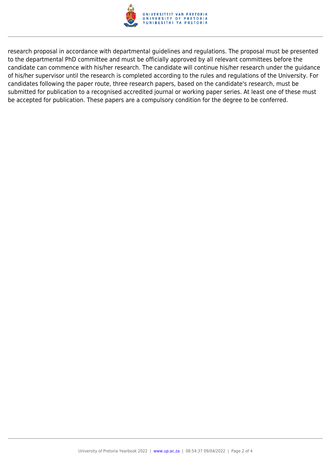

research proposal in accordance with departmental guidelines and regulations. The proposal must be presented to the departmental PhD committee and must be officially approved by all relevant committees before the candidate can commence with his/her research. The candidate will continue his/her research under the guidance of his/her supervisor until the research is completed according to the rules and regulations of the University. For candidates following the paper route, three research papers, based on the candidate's research, must be submitted for publication to a recognised accredited journal or working paper series. At least one of these must be accepted for publication. These papers are a compulsory condition for the degree to be conferred.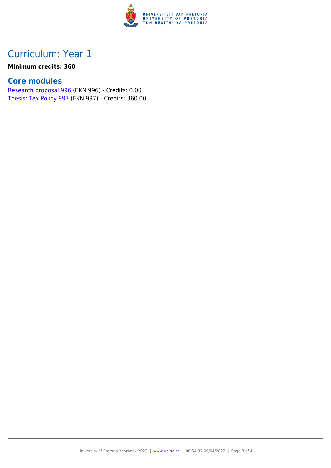

#### Curriculum: Year 1

#### **Minimum credits: 360**

#### **Core modules**

[Research proposal 996](https://www.up.ac.za/faculty-of-education/yearbooks/2022/modules/view/EKN 996) (EKN 996) - Credits: 0.00 [Thesis: Tax Policy 997](https://www.up.ac.za/faculty-of-education/yearbooks/2022/modules/view/EKN 997) (EKN 997) - Credits: 360.00